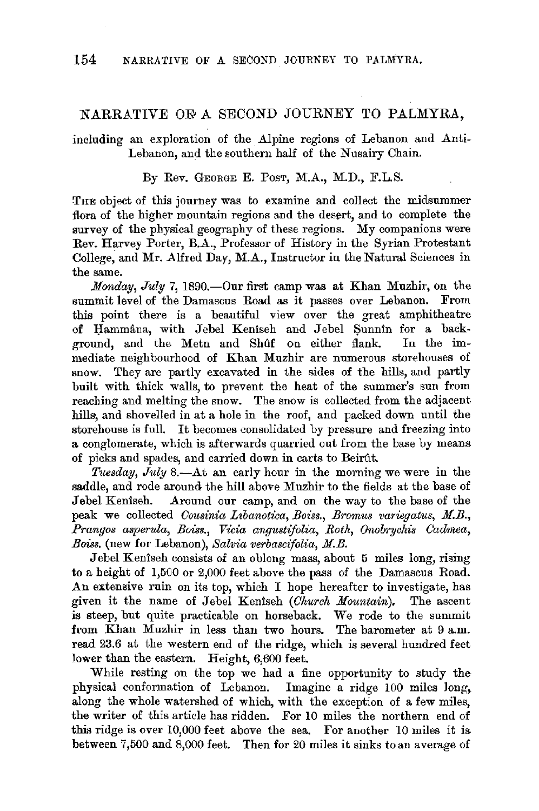## NARRATIVE OF A SECOND JOURNEY TO PALMYRA.

including au exploration of the Alpine regions of Lebanon and Anti-Lebanon, and the southern half of the Nusairy Chain.

By Rev. GEORGE E. PosT, M.A., M.D., F.L.S.

THE object of this journey was to examine and collect the midsummer flora of the higher mountain regions and the desert, and to complete the survey of the physical geography of these regions. My companions were Rev. Harvey Porter, B.A., Professor of History in the Syrian Protestant College, and Mr. Alfred Day, M.A., Instructor in the Natural Sciences in the same.

*Monday, July 7, 1890.*--Our first camp was at Khan Muzhir, on the summit level of the Damascus Road as it passes over Lebanon. From this point there is a beautiful view over the great amphitheatre of Hammana, with Jebel Keniseh and Jebel Sunnin for a background, and the Metn and Shuff on either flank. In the immediate neighbourhood of Khan Muzhir are numerous storehouses of snow. They are partly excavated in the sides of the hills, and partly built with thick walls, to prevent the heat of the summer's sun from reaching and melting the snow. The snow is collected from the adjacent hills, and shovelled in at a hole in the roof, and packed down until the storehouse is full. It becomes consolidated by pressure and freezing into a conglomerate, which is afterwards quarried out from the base by means of picks and spades, and canied down in carts to Beirftt.

*Tuesday, July* 8.—At an early hour in the morning we were in the saddle, and rode around the hill above Muzhir to the fields at the base of Jebel Keniseh. Around our camp, and on the way to the base of the peak we collected *Cousinia Libanotica, Boiss., Bromus variegatus, M.B.*, *Prangos asperula, Boiss., Vicia angustifolia, Roth, Onobrycliis Cadrnea, Boiss.* (new for Lebanon), *Salvia verbascifolia, M.B.* 

Jebel Keniseh consists of an oblong mass, about 5 miles long, rising to a height of 1,500 or 2,000 feet above the pass of the Damascus Road. **An** extensive ruin on its top, which I hope hereafter to investigate, has given it the name of Jebel Keniseh *(Church Mountain),* The ascent is steep, but quite practicable on horseback. We rode to the summit from Khan Muzhir in less than two hours. The barometer at 9 a.m. read 23.6 at the western end of the ridge, which is several hundred feet lower than the eastern. Height, 6,600 feet.

While resting on the top we had a fine opportunity to study the physical conformation of Lebanon. Imagine a ridge 100 miles long. along the whole watershed of which, with the exception of a few miles, the writer of this article has ridden. For 10 miles the northern end of this ridge is over 10,000 feet above the sea. For another 10 miles it is between 7,500 and 8,000 feet. Then for 20 miles it sinks toan average of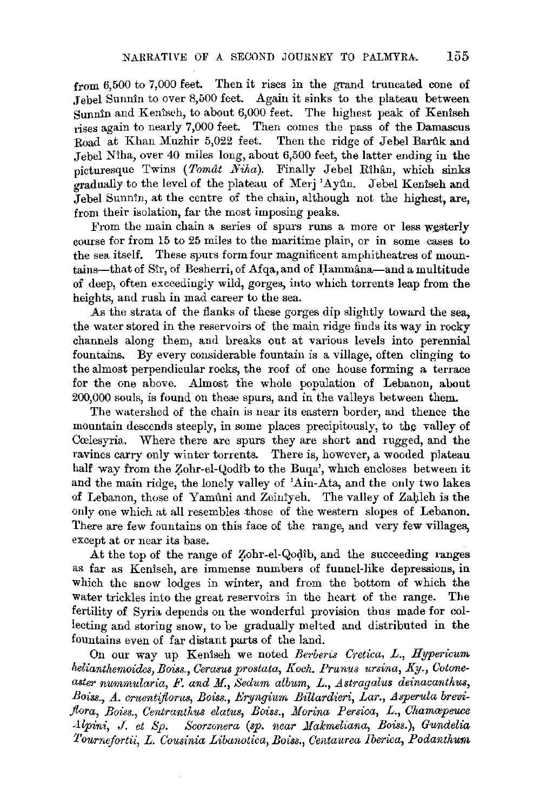from 6,500 to 7,000 feet. Then it rises in the grand truncated cone of .Jebel Sunnin to over 8,500 feet. Again it sinks to the plateau between Sunnin and Keniseh, to about 6,000 feet. The highest peak of Keniseh rises again to nearly 7,000 feet. Then comes the pass of the Damascus Road at Khan Muzhir 5,022 feet. Then the ridge of Jebel Barftk and .Jebel Niha, over 40 miles long, about 6,500 feet, the latter ending in the picturesque Twins (Tomat Niha). Finally Jebel Rihân, which sinks gradually to the level of the plateau of Merj 'Ayûn. Jebel Keniseh and .Jebel Sunnin, at the centre of the chain, although not the highest, are, from their isolation, far the most imposing peaks.

From the main chain a series of spurs runs a more or less westerly course for from 15 to 25 miles to the maritime plain, or in some cases to the sea itself. These spurs form four magnificent amphitheatres of mountains-that of Sir, of Besherri, of Afqa, and of Hammana-and a multitude of deep, often exceedingly wild, gorges, into which torrents leap from the heights, and rush in mad career to the sea.

As the strata of the flanks of these gorges dip slightly toward the sea, the water stored in the reservoirs of the main ridge finds its way in rocky channels along them, and breaks out at various levels into perennial fountains. By every considerable fountain is a village, often clinging to the almost perpendicular rocks, the roof of one house forming a terrace for the one above. Almost the whole population of Lebanon, about 200,000 souls, is found on these spurs, and in the valleys between them.

The watershed of the chain is near its eastern border, and thence the mountain descends steeply, in some places precipitously, to the valley of Cœlesyria. Where there are spurs they are short and rugged, and the ravines carry only winter torrents. There is, however, a wooded plateau half way from the Zohr-el-Qodib to the Buqa', which encloses between it and the main ridge, the lonely valley of 'Ain-Ata, and the only two lakes of Lebanon, those of Yamûni and Zeinîyeh. The valley of Zahleh is the only one which at all resembles .those of the western slopes of Lebanon. There are few fountains on this face of the range, and very few villages, except at or near its base.

At the top of the range of Zohr-el-Qodib, and the succeeding ranges as far as Keniseh, are immense numbers of funnel-like depressions, in which the snow lodges in winter, and from the bottom of which the water trickles into the great reservoirs in the heart of the range. The fertility of Syria depends on the wonderful provision thus made for collecting and storing snow, to be gradually melted and distributed in the fountains even of far distant parts of the land.

On our way up Keniseh we noted *Berberis Cretica, L., Hypericum helianthemoides, Boiss., Cerasus prostata, Koch. Prunus ursina, Ky., Cotone*aster nummularia, F. and M., Sedum album, L., Astragalus deinacanthus, Boiss., A. cruentiflorus, Boiss., *Eryngium Billardieri, Lar., Asperula brevi* $f_{\text{0}}$ *flora, Boiss., Centranthus elatus, Boiss., Morina Persica, L., Chamaepeuce Alpini, J. et Sp. Scorzonera (sp. near Makmeliana, Boiss.), Gundeli,a Tournefortii, L. Cousinia Libanotica, Boiss., Centaurea Jberica, Podanthum*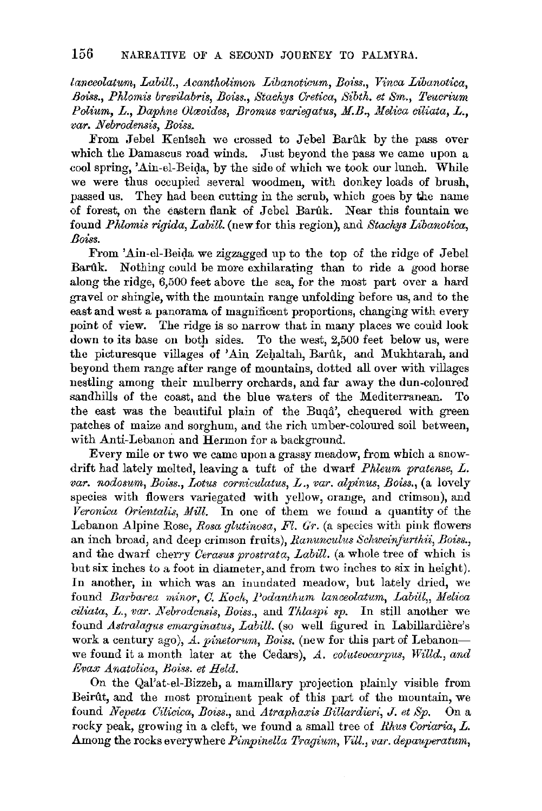*lanceolatum, Labill., Acantholimon Libanoticum, Boi'ss., Vinca Libanotica, Boiss., Phlomis brevilabris, Boiss., Stachys Oretica, Sibth. et Sm., Teucriurn Polium, L., Daphne Olavides, Bromus variegatus, M.B., Melica ciliata, L., var. Nebrodensis, Boiss.* 

From Jebel Keniseh we crossed to Jebel Barûk by the pass over which the Damascus road winds. Just beyond the pass we came upon a cool spring, 'Ain-el-Beida, by the side of which we took our lunch. While we were thus occupied several woodmen, with donkey loads of brush, passed us. They had been cutting in the scrub, which goes by the name of forest, on the eastern flank of Jebel Barûk. Near this fountain we found *Phlomis rigida, Labill.* (new for this region), and *Stachys Libanotica, Boiss.* 

From 'Ain-el-Beida we zigzagged up to the top of the ridge of Jebel Bartlk. Nothing could be more exhilarating than to ride a good horse along the ridge, 6,500 feet above the sea, for the most part over a hard gravel or shingle, with the mountain range unfolding before us, and to the east and west a panorama of magnificent proportions, changing with every point of view. The ridge is so narrow that in many places we could look down to its base on *botp* sides. To the west, 2,500 feet below us, were the picturesque villages of 'Ain Zehaltah, Barûk, and Mukhtarah, and beyond them range after range of mountains, dotted all over with villages nestling among their mulberry orchards, and far away the dun-coloured sandhills of the coast, and the blue waters of the Mediterranean. To the east was the beautiful plain of the Buqa', chequered with green patches of maize and sorghum, and the rich umber-coloured soil between, with Anti-Lebanon and Hermon for a background.

Every mile or two we came upon a grassy meadow, from which a snowdrift had lately melted, leaving a tuft of the dwarf *Phleum pratense, L. var. nodosum, Bo1'ss., Lotus corniculatus, L., var. alpinus, Boiss.,* (a lovely species with flowers variegated with yellow, orange, and crimson), and *Veronica Orientalis, Mill.* In one of them we found a quantity of the Lebanon Alpine Rose, *Rosa glutinosa, Fl. G'r.* (a species with pink flowers an inch broad, and deep crimson fruits), *Ranunculus Schweinfurthii, Boiss.,*  and the dwarf cherry *Cerasus prostrata, Labill.* (a whole tree of which is but six inches to a foot in diameter,and from two inches to six in height). In another, in which was an inundated meadow, but lately dried, we found *Barbarea minor, C. Koch, Podanthum lanceolatum, Labill,, Melica ciliata, L., var. Nebrodcnsis, Boiss., and Thlaspi sp.* In still another we found *Astralagus emarginatus, Labill.* (so well figured in Labillardiere's work a century ago), A. pinetorum, Boiss. (new for this part of Lebanonwe found it a month later at the Cedars), *A. coluteocarpus, Willd., and Evax Anatolica, Boiss. et Held.* 

On the Qal'at-el-Bizzeh, a mamillary projection plainly visible from Beirtlt, and the most prominent peak of this part of the mountain, we found *Nepeta Cilicica, Boiss.,* and *Atraphaxis Billardieri,* J. *et Sp.* On a rocky peak, growing in a cleft, we found a small tree of *Rhus Coriaria, L.*  Among the rocks everywhere *Pimpinella Tragium, Vill., var. depauperatum,*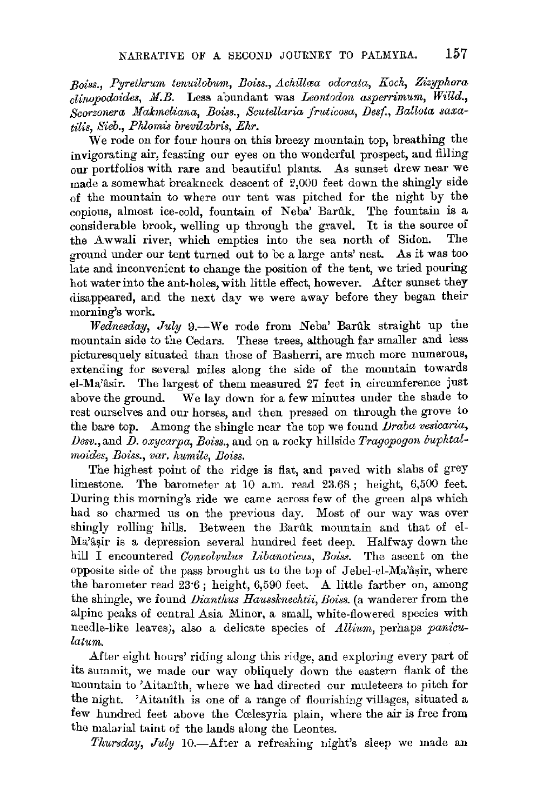Boiss., Pyrethrum tenuilobum, Boiss., Achillaa odorata, Koch, Zizyphora *clinopodoides, M.B.* Less abundant was *Leontodon asperrimum, Willd.*, *Scorzonera Makmeliana, Boiss., Scutellaria fruticosa, Desf., Ballota saxatilis, Sieb., Pklomis brevilabris, Ehr.* 

We rode on for four hours on this breezy mountain top, breathing the invigorating air, feasting our eyes on the wonderful prospect, and filling our portfolios with rare and beautiful plants. As sunset drew near we made a somewhat breakneck descent of  $2,000$  feet down the shingly side of the mountain to where our tent was pitched for the night by the copious, almost ice-cold, fountain of Neba' Barûk. The fountain is a considerable brook, welling up through the gravel. It is the source of the Awwali river, which empties into the sea north of Sidon. The the Awwali river, which empties into the sea north of Sidon. ground under our tent turned out to be a large ants' nest. As it was too late and inconvenient to change the position of the tent, we tried pouring hot water into the ant-holes, with little effect, however. After sunset they disappeared, and the next day we were away before they began their morning's work.

*Wednesday, July* 9.-We rode from Neba' Barftk straight up the mountain side to the Cedars. These trees, although far smaller and less picturesquely situated than those of Basherri, are much more numerous, extending for several miles along the side of the mountain towards el-Ma'asir. The largest of them measured 27 feet in circumference just above the ground. We lay down for a few minutes under the shade to rest ourselves and our horses, and then pressed on through the grove to the bare top. Among the shingle near the top we found *Draba vesicaria, Desv.,and D. oxycarpa, Boiss.,* and on a rocky hillside *Tragopogon buphtalmoides, Boiss., var. humile, Boiss.* 

The highest point of the ridge is flat, and paved with slabs of grey limestone. The barometer at 10 a.m. read 23.68 ; height, 6,500 feet. During this morning's ride we came across few of the green alps which had so charmed us on the previous day. Most of our way was over shingly rolling hills. Between the Barûk mountain and that of el-Ma'âsir is a depression several hundred feet deep. Halfway down the hill I encountered *Convolvidus Libanoticus, Boiss.* The ascent on the opposite side of the pass brought us to the top of Jebel-el-Ma'asir, where the barometer read 23·6 ; height, 6,590 feet. A little farther on, among the shingle, we found *Dianthus Haussknechtii, Boiss.* (a wanderer from the alpine peaks of central Asia Minor, a small, white-flowered species with needle-like leaves), also a delicate species of *Allium,* perhaps *panioulatum.* 

After eight hours' riding along this ridge, and exploring every part of its summit, we made our way obliquely down the eastern flank of the mountain to 'Aitanith, where we had directed our muleteers to pitch for the night. 'Aitanîth is one of a range of flourishing villages, situated a few hundred feet above the Ccelesyria plain, where the air is free from the malarial taint of the lands along the Leontes.

*Thursday, July* 10.-After a refreshing night's sleep we made an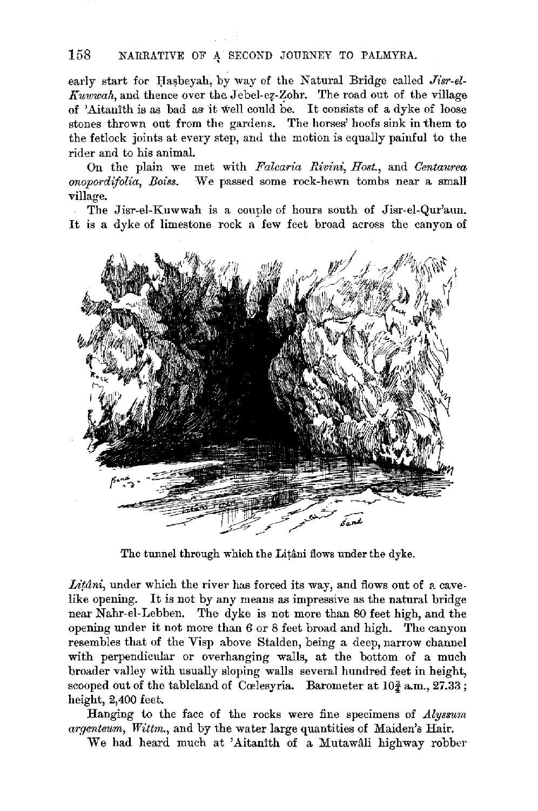## 158 NARRATIVE OF A SECOND JOURNEY TO PALMYRA.

early start for Hasbeyah, by way of the Natural Bridge called *Jisr-el-Kuwwah*, and thence over the Jebel-ez-Zohr. The road out of the village of 'Aitanith is as bad as it well could be. It consists of a dyke of loose stones thrown out from the gardens. The horses' hoofs sink in them to the fetlock joints at every step, and the motion is equally painful to the rider and to his animal.

On the plain we met with *Falcaria Rivini, Host.,* and *Centaurea onopordifolia, Boiss.* ·We passed some rock-hewn tombs near a small village.

The Jisr-el-Kuwwah is a couple of hours south of Jisr-el-Qur'aun. It is a dyke of limestone rock a few feet broad across the canyon of



The tunnel through which the Litani flows under the dyke.

 $L$ itini, under which the river has forced its way, and flows out of a cave. like opening. It is not by any means as impressive as the natural bridge near Nahr-el-Lebben. The dyke is not more than 80 feet high, and the opening under it not more than 6 or 8 feet broad and high. The canyon resembles that of the Visp above Stalden, being a deep, narrow channel with perpendicular or overhanging walls, at the bottom of a much broader valley with usually sloping walls several hundred feet in height, scooped out of the tableland of Cœlesyria. Barometer at  $10\frac{3}{4}$  a.m.,  $27.33$ ; height, 2,400 feet.

Hanging to the face of the rocks were fine specimens of *.Alyssum*  argenteum, Wittm., and by the water large quantities of Maiden's Hair.

We had heard much at 'Aitanith of a Mutawali highway robber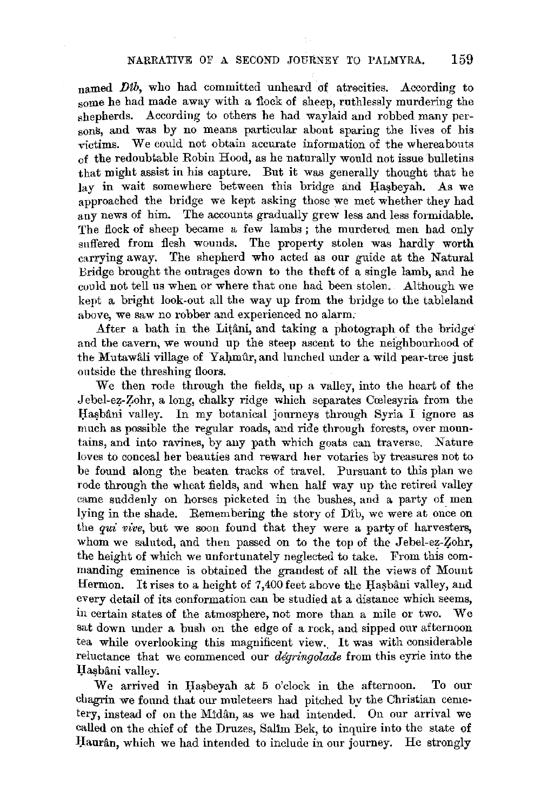named Dtb, who had committed unheard of atrocities. According to some he had made away with a flock of sheep, ruthlessly murdering the shepherds. According to others he had waylaid and robbed many persons, and was by no means particular about sparing the lives of his victims. We could not obtain accurate information of the whereabouts of the redoubtable Robin Hood, as he naturally would not issue bulletins that might assist in his capture. But it was generally thought that he lay in wait somewhere between this bridge and Hasbeyah. As we approached the bridge we kept asking those we met whether they had any news of him. The accounts gradually grew less and less formidable. The flock of sheep became a few lambs; the murdered men had only suffered from flesh wounds. The property stolen was hardly worth carrying away. The shepherd who acted as our guide at the Natural Bridge brought the outrages down to the theft of a single lamb, and he could not tell us when or where that one had been stolen. Although we kept a bright look-out all the way up from the bridge to the tableland above, we saw no robber and experienced no alarm;

After a bath in the Litâni, and taking a photograph of the bridge and the cavern, we wound up the steep ascent to the neighbourhood of the Mutawali village of Yahmur, and lunched under a wild pear-tree just outside the threshing floors.

We then rode through the fields, up a valley, into the heart of the Jebel-ez-Zohr, a long, chalky ridge which separates Cœlesyria from the Hashâni valley. In my botanical journeys through Syria I ignore as much as possible the regular roads, and ride through forests, over mountains, and into ravines, by any path which goats can traverse. Nature loves to conceal her beauties and reward her votaries by treasures not to be found. along the beaten tracks of travel. Pursuant to this plan we rode through the wheat fields, and when half way up the retired valley came suddenly on horses picketed in the bushes, and a party of men lying in the shade. Remembering the story of Dib, we were at once on the *qui' vive,* but we soon found that they were a party of harvesters, whom we saluted, and then passed on to the top of the Jebel-ez-Zohr, the height of which we unfortunately neglected to take. From this commanding eminence is obtained the grandest of all the views of Mount Hermon. It rises to a height of 7,400 feet above the Hasbâni valley, and every detail of its conformation can be studied at a distance which seems, in certain states of the atmosphere, not more than a mile or two. We sat down under a bush on the edge of a rock, and sipped our afternoon tea while overlooking this magnificent view. It was with considerable reluctance that we commenced our *degringolade* from this eyrie into the Hasbâni valley.

We arrived in Hasbeyah at 5 o'clock in the afternoon. To our chagrin we found that our muleteers had pitched by the Christian cemetery, instead of on the Midân, as we had intended. On our arrival we called on the chief of the Druzes, Salim Bek, to inquire into the state of Haurân, which we had intended to include in our journey. He strongly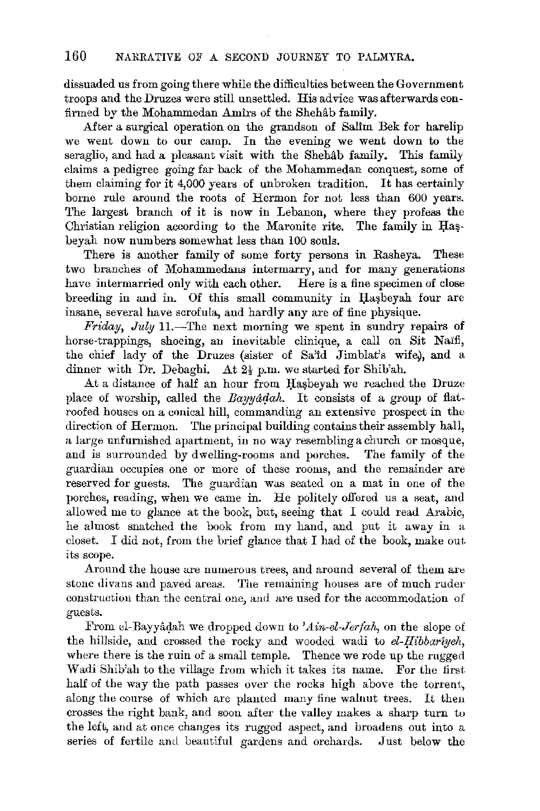dissuaded us from going there while the difficulties between the Government troops and the Druzes were still unsettled. His advice was afterwards confirmed by the Mohammedan Amirs of the Shehab family.

After a surgical operation on the grandson of Salim Bek for harelip we went down to our camp. In the evening we went down to the seraglio, and had a pleasant visit with the Shehab family. This family claims a pedigree going far back of the Mohammedan conquest, some of them claiming for it 4,000 years of unbroken tradition. It has certainly borne rule around the roots of Hermon for not less than 600 years. The largest branch of it is now in Lebanon, where they profess the Christian religion according to the Maronite rite. The family in Hasbeyah now numbers somewhat less than 100 souls.

There is another family of some forty persons in Rasheya. These two branches of Mohammedans intermarry, and for many generations have intermarried only with each other. Here is a fine specimen of close breeding in and in. Of this small community in Hasbeyah four are insane, several have scrofula, and hardly any are of fine physique.

*Friday, July* 11.-The next morning we spent in sundry repairs of horse-trappings, shoeing, an inevitable clinique, a call on Sit Naifi, the chief lady of the Druzes (sister of Sa'id Jimblat's wife), and a dinner with Dr. Debaghi. At 2½ p.m. we started for Shib'ah.

At a distance of half an hour from Hasbeyah we reached the Druze place of worship, called the *Bayyadah*. It consists of a group of flatroofed houses on a conical hill, commanding an extensive prospect in the direction of Hermon. The principal building contains their assembly hall, a large unfurnished apartment, in no way resembling a church or mosque, and is surrounded by dwelling-rooms and porches. The family of the guardian occupies one or more of these rooms, and the remainder are reserved for guests. The guardian was seated on a mat in one of the porches, reading, when we came in. He politely offered us a seat, and allowed me to glance at the book, but, seeing that I could read Arabic, he almost snatched the book from my hand, and put it away in a closet. I did not, from the brief glance that I had of the book, make out its scope.

Around the house are numerous trees, and around several of them are stone divans and paved areas. The remaining houses are of much ruder construction than the central one, and are used for the accommodation of guests.

From el-Bayyâdah we dropped down to 'Ain-el-Jerfah, on the slope of the hillside, and crossed the rocky and wooded wadi to  $el-Hibbar\gamma$ yeh, where there is the ruin of a small temple. Thence we rode up the rugged Wadi Shib'ah to the village from which it takes its name. For the first half of the way the path passes over the rocks high above the torrent, along the course of which are planted many fine walnut trees. It then crosses the right bank, and soon after the valley makes a sharp turn to the left, and at once changes its rugged aspect, and broadens out into a series of fertile and beautiful gardens and orchards. Just below the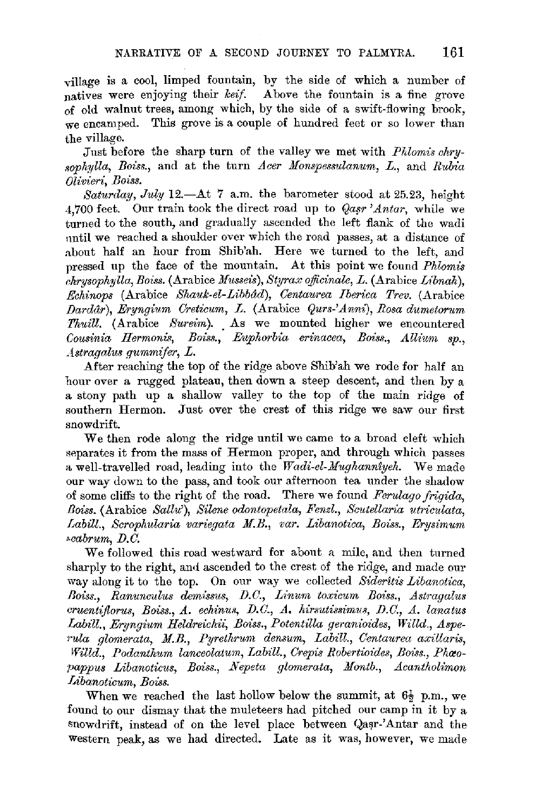•village is a cool, limped fountain, by the side of which a number of natives were enjoying their *keif.* Above the fountain is a fine grove of old walnut trees, among which, by the side of a swift-flowing brook, we encamped. This grove is a couple of hundred feet or so lower than the village .

.Just before the sharp turn of the valley we met with *Phlomis chry* sophylla, Boiss., and at the turn *Acer Monspessulanum, L.*, and *Rubia Olivieri, Boiss.* 

Saturday, July 12.-At 7 a.m. the barometer stood at 25.23, height 4,700 feet. Our train took the direct road up to *Qasr 'Antar*, while we turned to the south, and gradually ascended the left flank of the wadi nntil we reached a shoulder over which the road passes, at a distance of about half an hour from Shib'ah. Here we turned to the left, and pressed up the face of the mountain. At this point we found *Phlomis chrysophylla, Boiss.* (Arabice *Musseis*), Styrax officinale, L. (Arabice Libnah), *Echinops* (Arabice *Shauk-el-Libbdd), Centaurea lberica Trev.* (Arabice *Darddr*), Eryngium Creticum, L. (Arabice Qurs-'Anni), Rosa dumetorum *Thuill.* (Arabice *Sureim*). As we mounted higher we encountered *Cousinia Hermoni.~, Boiss., Euphorbia erinacea, Boiss., Allium sp., Astragalus \_qummifer,* L.

After reaching the top of the ridge above Shib'ah we rode for half an hour over a rugged plateau, then down a steep descent, and then by a a stony path up a shallow valley to the top of the main ridge of southern Hermon. Just over the crest of this ridge we saw our first snowdrift.

We then rode along the ridge until we came to a broad cleft which separates it from the mass of Hermon proper, and through which passes a well-travelled road, leading into the *Wadi-el-.Mughannzyeh.* We made our way down to the pass, and took our afternoon tea under the shadow of some cliffs to the right of the road. There we found *Ferulago frigida,*  Boiss. (Arabice *Sallu'*), Silene odontopetala, Fenzl., Scutellaria utriculata, *Labill., Scrophularia variegata .M.B., var. Libanotica, Boiss., Erysimum •cabrum, D.C.* 

We followed this road westward for about a mile, and then turned sharply to the right, and ascended to the crest of the ridge, and made our way along it to the top. On our way we collected *Sideritis Libanotica,*  Boiss., Ranunculus demissus, D.C., Linum toxicum Boiss., Astragalus *cruentiflorus, Boiss., A. echi'nu,q, D.C., A. hirsutissimus, D.C., A. lanatus*  Labill., Eryngium Heldreichii, Boiss., Potentilla geranioides, Willd., Aspe*rula ,qlomerata, .M.B., Pyrethrum densum, Labill., Centaurea axillaris,*  Willd., Podanthum lanceolatum, Labill., Crepis Robertioides, Boiss., Phao*pappus Libanoticus, Boiss., .Nepeta glomerata, .Montb., .Acantholimon Libanoticum, Boiss.* 

When we reached the last hollow below the summit, at  $6\frac{1}{2}$  p.m., we found to our dismay that the muleteers had pitched our camp in it by a snowdrift, instead of on the level place between Qasr-'Antar and the western peak, as we had directed. Late as it was, however, we made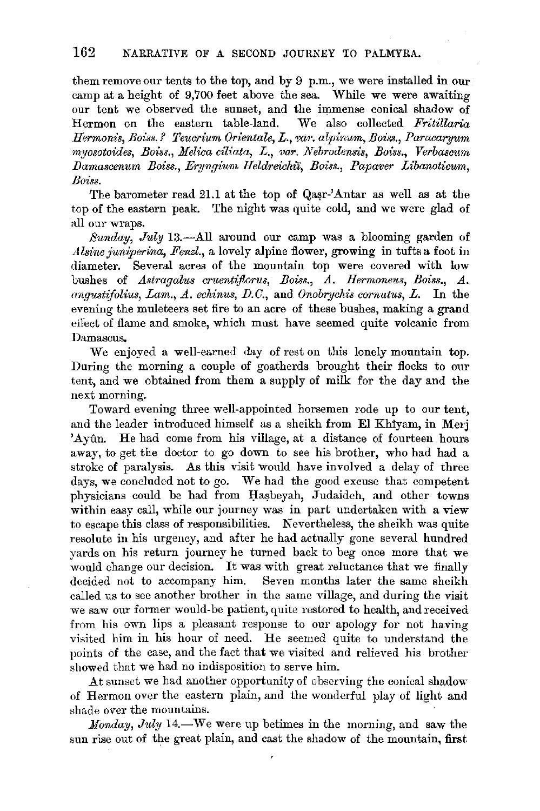them remove our tents to the top, and by 9 p.m., we were installed in our camp at a height of 9,700 feet above the sea. While we were awaiting our tent we observed the sunset, and the immense conical shadow of Hermon on the eastern table-land. We also collected *Fritillaria Hermonis, Boiss.? Teucrium Orientale, L., var. alpinum, Boiss., Paracaryum myosotoides, Boiss., Melica ciliata, L., var. Nebrodensis, Boiss., Verbasawn Damascenum Bmss., Eryngium Heldreiclti'i, Boiss., Papaver Libanoticum, Boiss.* 

The barometer read 21.1 at the top of Qasr-'Antar as well as at the top of the eastern peak. The night was quite cold, and we were glad of all our wraps.

*Sunday, July* 13.-All around our camp was a blooming garden of *Alsine juniperina, Fenzl.*, a lovely alpine flower, growing in tufts a foot in diameter. Several acres of the mountain top were covered with low bushes of *Astragalus cruentiflorus, Boiss., A. Hermoneus, Boiss., A. angustifolius, Lam., A. echinus, D.C.,* and *Onobrychis corrmtus, L.* In the evening the muleteers set fire to an acre of these bushes, making a grand effect of flame and smoke, which must have seemed quite volcanic from Damascus.

We enjoyed a well-earned day of rest on this lonely mountain top. During the morning a couple of goatherds brought their flocks to our tent, and we obtained from them a supply of milk for the day and the next morning.

Toward evening three well-appointed horsemen rode up to our tent, and the leader introduced himself as a sheikh from El Khiyam, in Merj 'Ayûn. He had come from his village, at a distance of fourteen hours away, to get the doctor to go down to see his brother, who had had a stroke of paralysis. As this visit would have involved a delay of three days, we concluded not to go. We had the good excuse that competent physicians could be had from Hasbeyah, Judaideh, and other towns within easy call, while our journey was in part undertaken with a view to escape this class of responsibilities. Nevertheless, the sheikh was quite resolute in his urgency, and after he had actually gone several hundred yards on his return journey he turned back to beg once more that we would change our decision. It was with great reluctance that we finally decided not to accompany him. Seven months later the same sheikh called us to see another brother in the same village, and during the visit we saw our former would-be patient, quite restored to health, and received from his own lips a pleasant response to our apology for not having visited him in his hour of need. He seemed quite to understand the points of the case, and the fact that we visited and relieved his brother showed that we had no indisposition to serve him.

At sunset we had another opportunity of observing the conical shadow of Hermon over the eastern plain, and the wonderful play of light and shade over the mountains.

*Monday, July 14.*—We were up betimes in the morning, and saw the sun rise out of the great plain, and cast the shadow of the mountain, first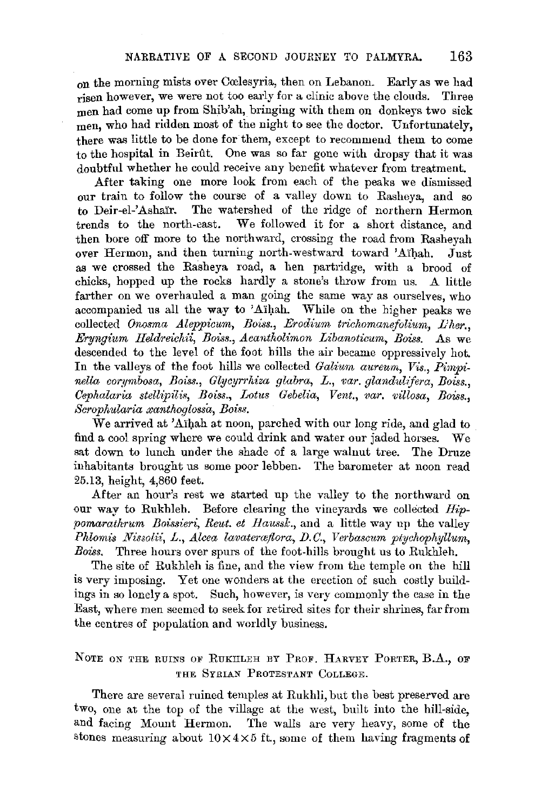on the morning mists over Cœlesyria, then on Lebanon. Early as we had risen however, we were not too early for a clinic above the clouds. Three men had come up from Shib'ah, bringing with them on donkeys two sick men, who had ridden most of the night to see the doctor. Unfortunately, there was little to be done for them, except to recommend them to come to the hospital in Beirftt. One was so far gone with dropsy that it was doubtful whether he could receive any benefit whatever from treatment.

After taking one more look from each of the peaks we dismissed our train to follow the course of a valley down to Rasheya, and so to Deir-el-'Ashaïr. The watershed of the ridge of northern Hermon trends to the north-east. We followed it for a short distance, and then bore off more to the northward, crossing the road from Rasheyah over Hermon, and then turning north-westward toward 'Aihah. Just as we crossed the Rasheya road, a hen partridge, with a brood of chicks, hopped up the rocks hardly a stone's throw from us. A little farther on we overhauled a man going the same way as ourselves, who accompanied us all the way to 'Aïhah. While on the higher peaks we collected *Onosma Aleppicum, Boiss., Erodium trichomanefolium, L'her., Eryngium Heldreichii, Bous., Acantholimon Libanoticum, Boiss.* As we descended to the level of the foot hills the air became oppressively hot. In the valleys of the foot hills we collected *Galium aureum*, Vis., Pimpi*nella cor.11mbosa, Boiss., Glycyrrhiza glabra,* L., *var. glandul1fera, Boiss., Oephalaria stellipili.~, Boiss., Lotus Gebelia, Vent., var. villosa, Bous., Scrophularia xanthoglossa, Bois.~.* 

We arrived at 'Aihah at noon, parched with our long ride, and glad to find a cool spring where we could drink and water our jaded horses. We sat down to lunch under the shade of a large walnut tree. The Druze inhabitants brought us some poor lebben. The barometer at noon read 25.13, height, 4,860 feet.

After an hour's rest we started up the valley to the northward on our way to Rukhleh. Before clearing the vineyards we collected *Hippomarathrum Boissieri, Reut. et Haussk.,* and a little way up the valley *Phloinis Nissolii, L., Alcea lavaterceflora, D. C., Verbascum ptychopliyllum,*  Boiss. Three hours over spurs of the foot-hills brought us to Rukhleh.

The site of Rukhleh is fine, and the view from the temple on the hill is very imposing. Yet one wonders at the erection of such costly buildings in so lonely a spot. Such, however, is very commonly the case in the East, where men seemed to seek for retired sites for their shrines, far from the centres of population and worldly business.

## NOTE ON THE RUINS OF RUKILLEH BY PROF, HARVEY PORTER, B.A., OF THE SYRIAN PROTESTANT COLLEGE.

There are several ruined temples at Rukhli, but the best preserved are two, one at the top of the village at the west, built into the hill-side, and facing Mount Hermon. The walls are very heavy, some of the stones measuring about  $10\times4\times5$  ft., some of them having fragments of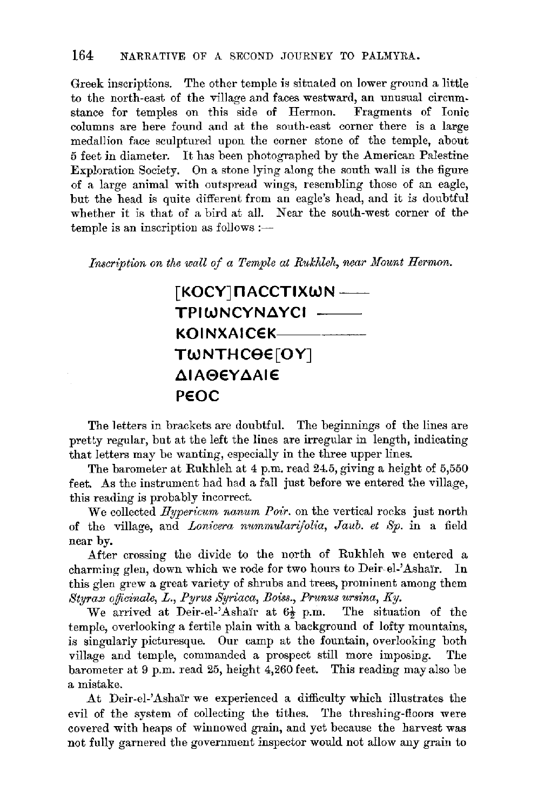Greek inscriptions. The other temple is situated on lower ground a little to the north-east of the village and faces westward, an unusual circumstance for temples on this side of Hermon. Fragments of Ionic columns are here found and at the south-east corner there is a large medallion face sculptured upon the corner stone of the temple, about 5 feet in diameter. It has been photographed by the American Palestine Exploration Society. On a stone lying along the south wall is the figure of a large animal with outspread wings, resembling those of an eagle, but the head is quite different from an eagle's head, and it is doubtful whether it is that of a bird at all. Near the south-west corner of the temple is an inscription as follows :-

Inscription on the wall of a Temple at Rukhleh, near Mount Hermon.

## **[KOCYJnACCTIXWN-TPIWNCYNAYCI KOINXAICEK TW NTH cee [O YJ AIA0€YAAIE PEOC**

The letters in brackets are doubtful. The beginnings of the lines are pretty regular, but at the left the lines are irregular in length, indicating that letters may be wanting, especially in the three upper lines.

The barometer at Rukhleh at 4 p.m. read 24.5, giving a height of 5,550 feet. As the instrument had had a fall just before we entered the village, this reading is probably incorrect.

We collected *Hypericum nanum Poir.* on the vertical rocks just north of the village, and *Lonicera nummularifolia*, *Jaub. et Sp.* in a field near by.

After crossing the divide to the north of Rukhleh we entered a charming glen, down which we rode for two hours to Deir-el-'Ashaïr. In this glen grew a great variety of shrubs and trees, prominent among them *Styrax oflicinale,* L., *Pyrus Syriaca, Boiss., Prunus ursina, Ky.* 

We arrived at Deir-el-'Ashair at  $6\frac{1}{2}$  p.m. temple, overlooking a fertile plain with a background of lofty mountains, is singularly picturesque. Our camp at the fountain, overlooking both village and temple, commanded a prospect still more imposing. The barometer at 9 p.m. read 25, height 4,260 feet. This reading may also be a mistake.

At Deir-el-'Ashaïr we experienced a difficulty which illustrates the evil of the system of collecting the tithes. The threshing-floors were covered with heaps of winnowed grain, and yet because the harvest was not fully garnered the government inspector would not allow any grain to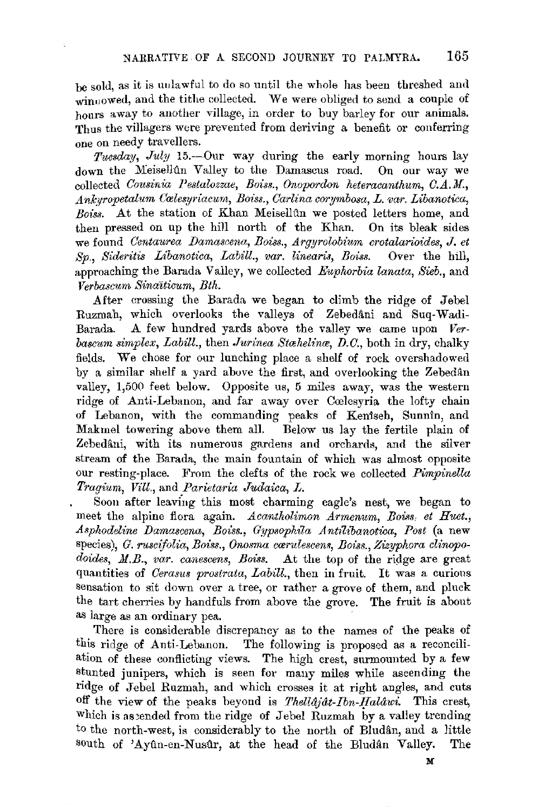be sold, as it is uulawful to do so until the whole has been threshed aml winuowed, and the tithe collected. We were obliged to send a couple of hours away to another village, in order to buy barley for our animals. Thus the villagers were prevented from deriving a benefit or conferring one on needy travellers.

*Tuesday, July* 15.--Our way during the early morning hours lay down the Meisellûn Valley to the Damascus road. On our way we collected *Cousinia Pestalozzae, Boiss., Onopordon heteracanthum, C.A.M.*, *AnkJropetalum Crules7p·iacum, Boi"ss., Carlina corymbosa, L. var. Libanotwa, Boiss.* At the station of Khan Meisellûn we posted letters home, and then pressed on up the hill north of the Khan. On its bleak sides we found *Centaurea Damascena, Boiss., Argyrolobium crotalarioides, J. et Sp., Sideritis Libanotica, Labill., var. linearis, Boiss.* Over the hill, approaching the Bamda Valley, we collected *Euphorbia lanata, Sieb.,* and  $Verbaseum$  *Sinaiticum, Bth.* 

.After crossing the Barada we began to climb the ridge of Jebel Ruzmah, which overlooks the valleys of Zebedâni and Suq-Wadi-Barada. A few hundred yards above the valley we came upon *Verbascum simplex, Labill., then Jurinea Stachelina, D.C., both in dry, chalky* fields. We chose for our lunching place a shelf of rock overshadowed by a similar shelf a yard above the first, and overlooking the Zebedân valley, 1,500 feet below. Opposite us, 5 miles away, was the western ridge of Anti-Lebanon, and far away over Ccelesyria the lofty chain of Lebanon, with the commanding peaks of Keniseh, Sunnin, and Makmel towering above them all. Below us lay the fertile plain of Zebedâni, with its numerous gardens and orchards, and the silver stream of the Barada, the main fountain of which was almost opposite. our resting-place. From the clefts of the rock we collected *Pimpinella Tragium, Vill.,* and *Parietaria Judaica, L.* 

Soon after leaving this most charming eagle's nest, we began to meet the alpine flora again. *Acantholimon Armenum*, Boiss, et Huet., *Asphodeline IJamascena, Boiss., G\_ypsophila Ant1Ubanotica, Post* (a new species), *G. ruscifolia, Boiss., Onosma carulescens, Boiss., Zizyphora clinopo*doides, M.B., var. canescens, Boiss. At the top of the ridge are great quantities of *Cerasus prostrata, Labill.,* then in fruit. It was a curious sensation to sit down over a tree, or rather a grove of them, and pluck the tart cherries by handfuls from above the grove. The fruit is about as large as an ordinary pea.

There is considerable discrepancy as to the names of the peaks of this ridge of Anti-Lebanon. The following is proposed as a reconciliation of these conflicting views. The high crest, surmounted by a few stunted junipers, which is seen for many miles while ascending the ridge of Jebel Ruzmah, and which crosses it at right angles, and cuts off the view of the peaks heyond is *ThelldJat-Ibn-lfalawi.* This crest, which is assended from the ridge of Jebel Ruzmah by a valley trending to the north-west, is considerably to the north of Bludân, and a little south of 'Ayûn-en-Nusûr, at the head of the Bludân Valley. The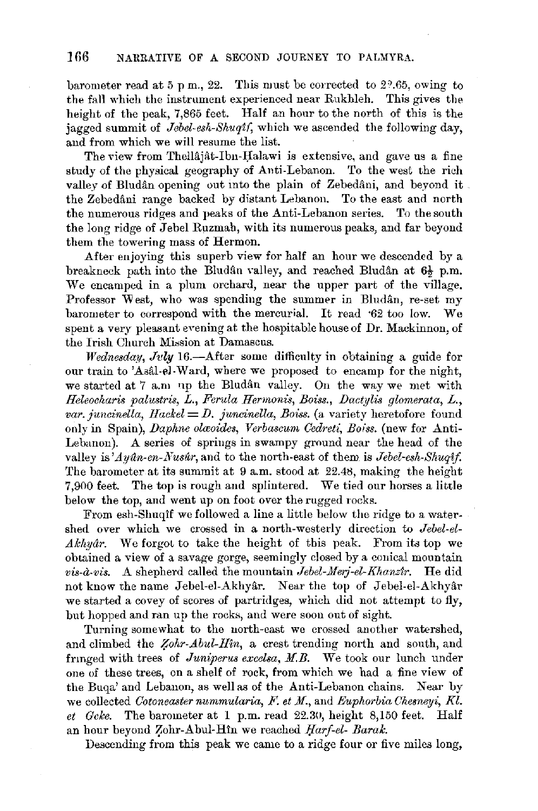barometer read at 5 pm., 22. This must be corrected to 2 $2.65$ , owing to the fall which the instrument experienced near Rukhleh. This gives the height of the peak, 7,865 feet. Half an hour to the north of this is the jagged summit of *Jebel-esh-Shuqt(,* which we ascended the following day, and from which we will resume the list.

The view from Thellajat-Ibn-Halawi is extensive, and gave us a fine study of the physical geography of Anti-Lebanon. To the west the rich valley of Bludân opening out into the plain of Zebedâni, and beyond it. the Zebedani range backed by distant Lebanon. To the east and north the numerous ridges and peaks of the Anti-Lebanon series. To the south the long ridge of Jebel Rnzmah, with its numerous peaks; and far beyond them the towering mass of Hermon.

After enjoying this superb view for half an hour we descended by a breakneck path into the Bludân valley, and reached Bludân at  $6\frac{1}{2}$  p.m. We encamped in a plum orchard, near the upper part of the village. Professor West, who was spending the summer in Bludan, re-set my barometer to correspond with the mercurial. It read ·62 too low. We spent a very pleasant evening at the hospitable house of Dr. Mackinnon, of the Irish Church Mission at Damascus.

*Wednesday*, *July* 16.-After some difficulty in obtaining a guide for our train to 'Asal-el-Ward, where we proposed to encamp for the night, we started at 7 a.m up the Bludan valley. On the way we met with *Ileleocharis palustris, L., Ferula Hermonis, Boiss., Dactplis glomerata, L., var. juncinella, Hackel= D. juncinella, Boiss.* (a variety heretofore found only in Spain), *Daphne olavides, Verbascum Cedreti, Boiss.* (new for Anti-Lebanon). A series of springs in swampy ground near the head of the valley is *Ayan-en-Nusar*, and to the north-east of them is *Jebel-esh-Shuqif*. The barometer at its summit at 9 a.m. stood at 22.48, making the height 7,900 feet. The top is rough and splintered. We tied our horses a little below the top, and went up on foot over the rugged rocks.

From esh-Shuqlf we followed a line a little below the ridge to a watershed over which we crossed in a north-westerly direction to *Jebel-el-Akhuar.* We forgot to take the height of this peak. From its top we obtained a view of a savage gorge, seemingly closed by a conical mountain *vis-à-vis.* A shepherd called the mountain *Jebel-Merj-el-Khanzir*. He did not know the name Jebel-el-Akhyar. Near the top of Jebel-el-Akhyar we started a covey of scores of partridges, which did not attempt to fly, but hopped and ran up the rocks, and were soon out of sight.

Turning somewhat to the north-east we crossed another watershed, and climbed the *Zohr-Abul-Hin*, a crest trending north and south, and frmged with trees of *Juniperus excelsa, H.B.* We took our lunch under one of these trees, on a shelf of rock, from which we had a fine view of the Buqa' and Lebanon, as well as of the Anti-Lebanon chains. Near by we collected *Cotoneaster nummularia, F. et M.*, and *Euphorbia Chesneyi, Kl. et Gcke.* The barometer at 1 p.m. read 22.30, height 8,150 feet. Half an hour beyond Zohr-Abul-Hin we reached *Harf-el- Barak.* 

Descending from this peak we came to a ridge four or five miles long,